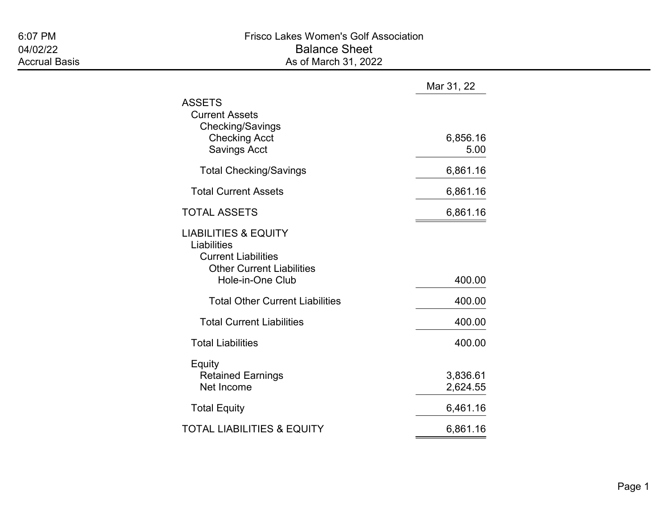|                                                                                                                                      | Mar 31, 22           |
|--------------------------------------------------------------------------------------------------------------------------------------|----------------------|
| <b>ASSETS</b><br><b>Current Assets</b><br>Checking/Savings<br><b>Checking Acct</b><br><b>Savings Acct</b>                            | 6,856.16<br>5.00     |
| <b>Total Checking/Savings</b>                                                                                                        | 6,861.16             |
| <b>Total Current Assets</b>                                                                                                          | 6,861.16             |
| <b>TOTAL ASSETS</b>                                                                                                                  | 6,861.16             |
| <b>LIABILITIES &amp; EQUITY</b><br>Liabilities<br><b>Current Liabilities</b><br><b>Other Current Liabilities</b><br>Hole-in-One Club | 400.00               |
| <b>Total Other Current Liabilities</b>                                                                                               | 400.00               |
| <b>Total Current Liabilities</b>                                                                                                     | 400.00               |
| <b>Total Liabilities</b>                                                                                                             | 400.00               |
| Equity<br><b>Retained Earnings</b><br>Net Income                                                                                     | 3,836.61<br>2,624.55 |
| <b>Total Equity</b>                                                                                                                  | 6,461.16             |
| <b>TOTAL LIABILITIES &amp; EQUITY</b>                                                                                                | 6,861.16             |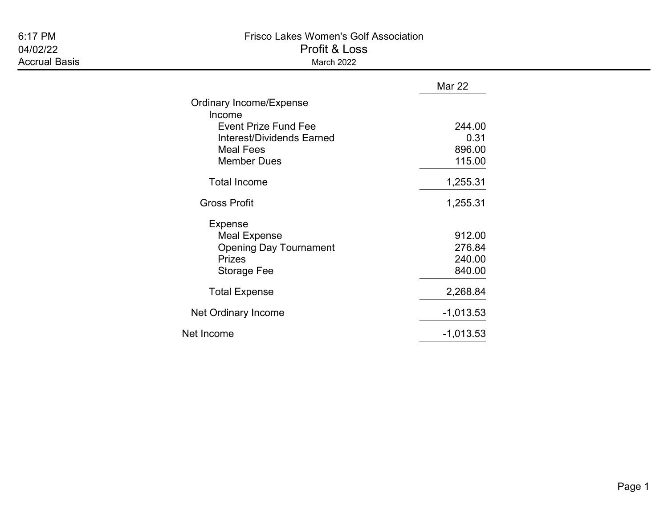# Accrual Basis **March 2022**

### 6:17 PM Frisco Lakes Women's Golf Association 04/02/22 Profit & Loss

|                                  | <b>Mar 22</b> |
|----------------------------------|---------------|
| <b>Ordinary Income/Expense</b>   |               |
| Income                           |               |
| <b>Event Prize Fund Fee</b>      | 244.00        |
| <b>Interest/Dividends Earned</b> | 0.31          |
| <b>Meal Fees</b>                 | 896.00        |
| <b>Member Dues</b>               | 115.00        |
| <b>Total Income</b>              | 1,255.31      |
| <b>Gross Profit</b>              | 1,255.31      |
| <b>Expense</b>                   |               |
| <b>Meal Expense</b>              | 912.00        |
| <b>Opening Day Tournament</b>    | 276.84        |
| <b>Prizes</b>                    | 240.00        |
| Storage Fee                      | 840.00        |
| <b>Total Expense</b>             | 2,268.84      |
| Net Ordinary Income              | $-1,013.53$   |
| Net Income                       | $-1,013.53$   |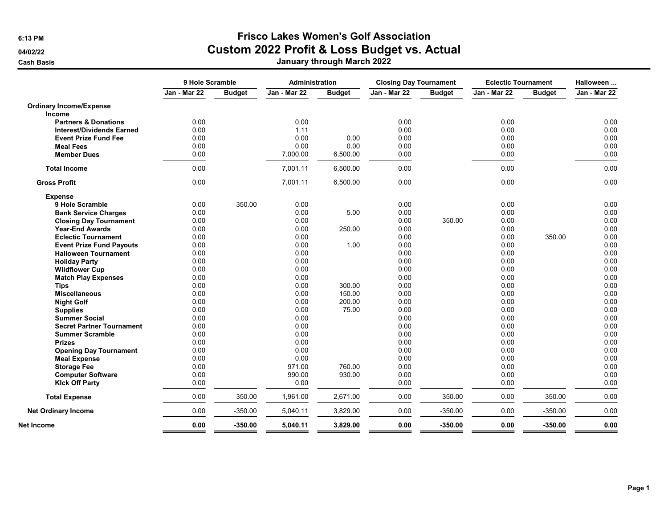## 6:13 PM Frisco Lakes Women's Golf Association

04/02/22 **Custom 2022 Profit & Loss Budget vs. Actual** 

Cash Basis January through March 2022

|                                  | 9 Hole Scramble     |               | Administration |               | <b>Closing Day Tournament</b> |               | <b>Eclectic Tournament</b> |               | Halloween    |  |
|----------------------------------|---------------------|---------------|----------------|---------------|-------------------------------|---------------|----------------------------|---------------|--------------|--|
|                                  | <b>Jan - Mar 22</b> | <b>Budget</b> | Jan - Mar 22   | <b>Budget</b> | Jan - Mar 22                  | <b>Budget</b> | Jan - Mar 22               | <b>Budget</b> | Jan - Mar 22 |  |
| <b>Ordinary Income/Expense</b>   |                     |               |                |               |                               |               |                            |               |              |  |
| Income                           |                     |               |                |               |                               |               |                            |               |              |  |
| <b>Partners &amp; Donations</b>  | 0.00                |               | 0.00           |               | 0.00                          |               | 0.00                       |               | 0.00         |  |
| <b>Interest/Dividends Earned</b> | 0.00                |               | 1.11           |               | 0.00                          |               | 0.00                       |               | 0.00         |  |
| <b>Event Prize Fund Fee</b>      | 0.00                |               | 0.00           | 0.00          | 0.00                          |               | 0.00                       |               | 0.00         |  |
| <b>Meal Fees</b>                 | 0.00                |               | 0.00           | 0.00          | 0.00                          |               | 0.00                       |               | 0.00         |  |
| <b>Member Dues</b>               | 0.00                |               | 7,000.00       | 6,500.00      | 0.00                          |               | 0.00                       |               | 0.00         |  |
| <b>Total Income</b>              | 0.00                |               | 7,001.11       | 6,500.00      | 0.00                          |               | 0.00                       |               | 0.00         |  |
| <b>Gross Profit</b>              | 0.00                |               | 7,001.11       | 6,500.00      | 0.00                          |               | 0.00                       |               | 0.00         |  |
| <b>Expense</b>                   |                     |               |                |               |                               |               |                            |               |              |  |
| 9 Hole Scramble                  | 0.00                | 350.00        | 0.00           |               | 0.00                          |               | 0.00                       |               | 0.00         |  |
| <b>Bank Service Charges</b>      | 0.00                |               | 0.00           | 5.00          | 0.00                          |               | 0.00                       |               | 0.00         |  |
| <b>Closing Day Tournament</b>    | 0.00                |               | 0.00           |               | 0.00                          | 350.00        | 0.00                       |               | 0.00         |  |
| <b>Year-End Awards</b>           | 0.00                |               | 0.00           | 250.00        | 0.00                          |               | 0.00                       |               | 0.00         |  |
| <b>Eclectic Tournament</b>       | 0.00                |               | 0.00           |               | 0.00                          |               | 0.00                       | 350.00        | 0.00         |  |
| <b>Event Prize Fund Payouts</b>  | 0.00                |               | 0.00           | 1.00          | 0.00                          |               | 0.00                       |               | 0.00         |  |
| <b>Halloween Tournament</b>      | 0.00                |               | 0.00           |               | 0.00                          |               | 0.00                       |               | 0.00         |  |
| <b>Holiday Party</b>             | 0.00                |               | 0.00           |               | 0.00                          |               | 0.00                       |               | 0.00         |  |
| <b>Wildflower Cup</b>            | 0.00                |               | 0.00           |               | 0.00                          |               | 0.00                       |               | 0.00         |  |
| <b>Match Play Expenses</b>       | 0.00                |               | 0.00           |               | 0.00                          |               | 0.00                       |               | 0.00         |  |
| <b>Tips</b>                      | 0.00                |               | 0.00           | 300.00        | 0.00                          |               | 0.00                       |               | 0.00         |  |
| <b>Miscellaneous</b>             | 0.00                |               | 0.00           | 150.00        | 0.00                          |               | 0.00                       |               | 0.00         |  |
| <b>Night Golf</b>                | 0.00                |               | 0.00           | 200.00        | 0.00                          |               | 0.00                       |               | 0.00         |  |
| <b>Supplies</b>                  | 0.00                |               | 0.00           | 75.00         | 0.00                          |               | 0.00                       |               | 0.00         |  |
| <b>Summer Social</b>             | 0.00                |               | 0.00           |               | 0.00                          |               | 0.00                       |               | 0.00         |  |
| <b>Secret Partner Tournament</b> | 0.00                |               | 0.00           |               | 0.00                          |               | 0.00                       |               | 0.00         |  |
| <b>Summer Scramble</b>           | 0.00                |               | 0.00           |               | 0.00                          |               | 0.00                       |               | 0.00         |  |
| <b>Prizes</b>                    | 0.00                |               | 0.00           |               | 0.00                          |               | 0.00                       |               | 0.00         |  |
| <b>Opening Day Tournament</b>    | 0.00                |               | 0.00           |               | 0.00                          |               | 0.00                       |               | 0.00         |  |
| <b>Meal Expense</b>              | 0.00                |               | 0.00           |               | 0.00                          |               | 0.00                       |               | 0.00         |  |
| <b>Storage Fee</b>               | 0.00                |               | 971.00         | 760.00        | 0.00                          |               | 0.00                       |               | 0.00         |  |
| <b>Computer Software</b>         | 0.00                |               | 990.00         | 930.00        | 0.00                          |               | 0.00                       |               | 0.00         |  |
| <b>Klck Off Party</b>            | 0.00                |               | 0.00           |               | 0.00                          |               | 0.00                       |               | 0.00         |  |
| <b>Total Expense</b>             | 0.00                | 350.00        | 1,961.00       | 2,671.00      | 0.00                          | 350.00        | 0.00                       | 350.00        | 0.00         |  |
| <b>Net Ordinary Income</b>       | 0.00                | $-350.00$     | 5,040.11       | 3,829.00      | 0.00                          | $-350.00$     | 0.00                       | $-350.00$     | 0.00         |  |
| Net Income                       | 0.00                | $-350.00$     | 5,040.11       | 3,829.00      | 0.00                          | $-350.00$     | 0.00                       | $-350.00$     | 0.00         |  |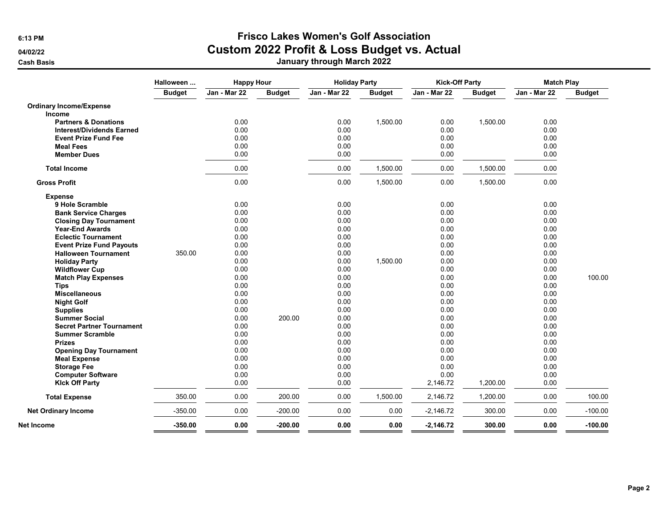### 6:13 PM Frisco Lakes Women's Golf Association 04/02/22 **Custom 2022 Profit & Loss Budget vs. Actual**

Cash Basis January through March 2022

|                                  | Halloween     | <b>Happy Hour</b> |               | <b>Holiday Party</b> |               | <b>Kick-Off Party</b> |               | <b>Match Play</b> |               |
|----------------------------------|---------------|-------------------|---------------|----------------------|---------------|-----------------------|---------------|-------------------|---------------|
|                                  | <b>Budget</b> | Jan - Mar 22      | <b>Budget</b> | Jan - Mar 22         | <b>Budget</b> | Jan - Mar 22          | <b>Budget</b> | Jan - Mar 22      | <b>Budget</b> |
| <b>Ordinary Income/Expense</b>   |               |                   |               |                      |               |                       |               |                   |               |
| <b>Income</b>                    |               |                   |               |                      |               |                       |               |                   |               |
| <b>Partners &amp; Donations</b>  |               | 0.00              |               | 0.00                 | 1,500.00      | 0.00                  | 1,500.00      | 0.00              |               |
| <b>Interest/Dividends Earned</b> |               | 0.00              |               | 0.00                 |               | 0.00                  |               | 0.00              |               |
| <b>Event Prize Fund Fee</b>      |               | 0.00              |               | 0.00                 |               | 0.00                  |               | 0.00              |               |
| <b>Meal Fees</b>                 |               | 0.00              |               | 0.00                 |               | 0.00                  |               | 0.00              |               |
| <b>Member Dues</b>               |               | 0.00              |               | 0.00                 |               | 0.00                  |               | 0.00              |               |
| <b>Total Income</b>              |               | 0.00              |               | 0.00                 | 1,500.00      | 0.00                  | 1,500.00      | 0.00              |               |
| <b>Gross Profit</b>              |               | 0.00              |               | 0.00                 | 1,500.00      | 0.00                  | 1,500.00      | 0.00              |               |
| <b>Expense</b>                   |               |                   |               |                      |               |                       |               |                   |               |
| 9 Hole Scramble                  |               | 0.00              |               | 0.00                 |               | 0.00                  |               | 0.00              |               |
| <b>Bank Service Charges</b>      |               | 0.00              |               | 0.00                 |               | 0.00                  |               | 0.00              |               |
| <b>Closing Day Tournament</b>    |               | 0.00              |               | 0.00                 |               | 0.00                  |               | 0.00              |               |
| <b>Year-End Awards</b>           |               | 0.00              |               | 0.00                 |               | 0.00                  |               | 0.00              |               |
| <b>Eclectic Tournament</b>       |               | 0.00              |               | 0.00                 |               | 0.00                  |               | 0.00              |               |
| <b>Event Prize Fund Payouts</b>  |               | 0.00              |               | 0.00                 |               | 0.00                  |               | 0.00              |               |
| <b>Halloween Tournament</b>      | 350.00        | 0.00              |               | 0.00                 |               | 0.00                  |               | 0.00              |               |
| <b>Holiday Party</b>             |               | 0.00              |               | 0.00                 | 1,500.00      | 0.00                  |               | 0.00              |               |
| <b>Wildflower Cup</b>            |               | 0.00              |               | 0.00                 |               | 0.00                  |               | 0.00              |               |
| <b>Match Play Expenses</b>       |               | 0.00              |               | 0.00                 |               | 0.00                  |               | 0.00              | 100.00        |
| <b>Tips</b>                      |               | 0.00              |               | 0.00                 |               | 0.00                  |               | 0.00              |               |
| <b>Miscellaneous</b>             |               | 0.00              |               | 0.00                 |               | 0.00                  |               | 0.00              |               |
| <b>Night Golf</b>                |               | 0.00              |               | 0.00                 |               | 0.00                  |               | 0.00              |               |
| <b>Supplies</b>                  |               | 0.00              |               | 0.00                 |               | 0.00                  |               | 0.00              |               |
| <b>Summer Social</b>             |               | 0.00              | 200.00        | 0.00                 |               | 0.00                  |               | 0.00              |               |
| <b>Secret Partner Tournament</b> |               | 0.00              |               | 0.00                 |               | 0.00                  |               | 0.00              |               |
| <b>Summer Scramble</b>           |               | 0.00              |               | 0.00                 |               | 0.00                  |               | 0.00              |               |
| <b>Prizes</b>                    |               | 0.00              |               | 0.00                 |               | 0.00                  |               | 0.00              |               |
| <b>Opening Day Tournament</b>    |               | 0.00              |               | 0.00                 |               | 0.00                  |               | 0.00              |               |
| <b>Meal Expense</b>              |               | 0.00              |               | 0.00                 |               | 0.00                  |               | 0.00              |               |
| <b>Storage Fee</b>               |               | 0.00              |               | 0.00                 |               | 0.00                  |               | 0.00              |               |
| <b>Computer Software</b>         |               | 0.00              |               | 0.00                 |               | 0.00                  |               | 0.00              |               |
| <b>Klck Off Party</b>            |               | 0.00              |               | 0.00                 |               | 2,146.72              | 1,200.00      | 0.00              |               |
| <b>Total Expense</b>             | 350.00        | 0.00              | 200.00        | 0.00                 | 1,500.00      | 2,146.72              | 1,200.00      | 0.00              | 100.00        |
| <b>Net Ordinary Income</b>       | $-350.00$     | 0.00              | $-200.00$     | 0.00                 | 0.00          | $-2,146.72$           | 300.00        | 0.00              | $-100.00$     |
| Net Income                       | $-350.00$     | 0.00              | $-200.00$     | 0.00                 | 0.00          | $-2,146.72$           | 300.00        | 0.00              | $-100.00$     |
|                                  |               |                   |               |                      |               |                       |               |                   |               |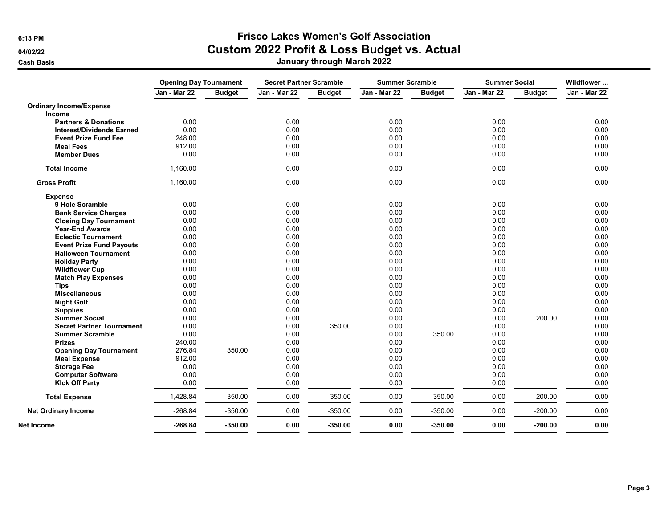# 6:13 PM Frisco Lakes Women's Golf Association

04/02/22 **Custom 2022 Profit & Loss Budget vs. Actual** 

Cash Basis January through March 2022

|                                  | <b>Opening Day Tournament</b> |               | <b>Secret Partner Scramble</b> |               | <b>Summer Scramble</b> |               | <b>Summer Social</b> |               | Wildflower   |  |
|----------------------------------|-------------------------------|---------------|--------------------------------|---------------|------------------------|---------------|----------------------|---------------|--------------|--|
|                                  | Jan - Mar 22                  | <b>Budget</b> | Jan - Mar 22                   | <b>Budget</b> | Jan - Mar 22           | <b>Budget</b> | Jan - Mar 22         | <b>Budget</b> | Jan - Mar 22 |  |
| <b>Ordinary Income/Expense</b>   |                               |               |                                |               |                        |               |                      |               |              |  |
| <b>Income</b>                    |                               |               |                                |               |                        |               |                      |               |              |  |
| <b>Partners &amp; Donations</b>  | 0.00                          |               | 0.00                           |               | 0.00                   |               | 0.00                 |               | 0.00         |  |
| <b>Interest/Dividends Earned</b> | 0.00                          |               | 0.00                           |               | 0.00                   |               | 0.00                 |               | 0.00         |  |
| <b>Event Prize Fund Fee</b>      | 248.00                        |               | 0.00                           |               | 0.00                   |               | 0.00                 |               | 0.00         |  |
| <b>Meal Fees</b>                 | 912.00                        |               | 0.00                           |               | 0.00                   |               | 0.00                 |               | 0.00         |  |
| <b>Member Dues</b>               | 0.00                          |               | 0.00                           |               | 0.00                   |               | 0.00                 |               | 0.00         |  |
| <b>Total Income</b>              | 1,160.00                      |               | 0.00                           |               | 0.00                   |               | 0.00                 |               | 0.00         |  |
| <b>Gross Profit</b>              | 1,160.00                      |               | 0.00                           |               | 0.00                   |               | 0.00                 |               | 0.00         |  |
| <b>Expense</b>                   |                               |               |                                |               |                        |               |                      |               |              |  |
| 9 Hole Scramble                  | 0.00                          |               | 0.00                           |               | 0.00                   |               | 0.00                 |               | 0.00         |  |
| <b>Bank Service Charges</b>      | 0.00                          |               | 0.00                           |               | 0.00                   |               | 0.00                 |               | 0.00         |  |
| <b>Closing Day Tournament</b>    | 0.00                          |               | 0.00                           |               | 0.00                   |               | 0.00                 |               | 0.00         |  |
| <b>Year-End Awards</b>           | 0.00                          |               | 0.00                           |               | 0.00                   |               | 0.00                 |               | 0.00         |  |
| <b>Eclectic Tournament</b>       | 0.00                          |               | 0.00                           |               | 0.00                   |               | 0.00                 |               | 0.00         |  |
| <b>Event Prize Fund Payouts</b>  | 0.00                          |               | 0.00                           |               | 0.00                   |               | 0.00                 |               | 0.00         |  |
| <b>Halloween Tournament</b>      | 0.00                          |               | 0.00                           |               | 0.00                   |               | 0.00                 |               | 0.00         |  |
| <b>Holiday Party</b>             | 0.00                          |               | 0.00                           |               | 0.00                   |               | 0.00                 |               | 0.00         |  |
| <b>Wildflower Cup</b>            | 0.00                          |               | 0.00                           |               | 0.00                   |               | 0.00                 |               | 0.00         |  |
| <b>Match Play Expenses</b>       | 0.00                          |               | 0.00                           |               | 0.00                   |               | 0.00                 |               | 0.00         |  |
| <b>Tips</b>                      | 0.00                          |               | 0.00                           |               | 0.00                   |               | 0.00                 |               | 0.00         |  |
| <b>Miscellaneous</b>             | 0.00                          |               | 0.00                           |               | 0.00                   |               | 0.00                 |               | 0.00         |  |
| <b>Night Golf</b>                | 0.00                          |               | 0.00                           |               | 0.00                   |               | 0.00                 |               | 0.00         |  |
| <b>Supplies</b>                  | 0.00                          |               | 0.00                           |               | 0.00                   |               | 0.00                 |               | 0.00         |  |
| <b>Summer Social</b>             | 0.00                          |               | 0.00                           |               | 0.00                   |               | 0.00                 | 200.00        | 0.00         |  |
| <b>Secret Partner Tournament</b> | 0.00                          |               | 0.00                           | 350.00        | 0.00                   |               | 0.00                 |               | 0.00         |  |
| <b>Summer Scramble</b>           | 0.00                          |               | 0.00                           |               | 0.00                   | 350.00        | 0.00                 |               | 0.00         |  |
| <b>Prizes</b>                    | 240.00                        |               | 0.00                           |               | 0.00                   |               | 0.00                 |               | 0.00         |  |
| <b>Opening Day Tournament</b>    | 276.84                        | 350.00        | 0.00                           |               | 0.00                   |               | 0.00                 |               | 0.00         |  |
| <b>Meal Expense</b>              | 912.00                        |               | 0.00                           |               | 0.00                   |               | 0.00                 |               | 0.00         |  |
| <b>Storage Fee</b>               | 0.00                          |               | 0.00                           |               | 0.00                   |               | 0.00                 |               | 0.00         |  |
| <b>Computer Software</b>         | 0.00                          |               | 0.00                           |               | 0.00                   |               | 0.00                 |               | 0.00         |  |
| <b>Kick Off Party</b>            | 0.00                          |               | 0.00                           |               | 0.00                   |               | 0.00                 |               | 0.00         |  |
| <b>Total Expense</b>             | 1,428.84                      | 350.00        | 0.00                           | 350.00        | 0.00                   | 350.00        | 0.00                 | 200.00        | 0.00         |  |
| <b>Net Ordinary Income</b>       | $-268.84$                     | $-350.00$     | 0.00                           | $-350.00$     | 0.00                   | $-350.00$     | 0.00                 | $-200.00$     | 0.00         |  |
| Net Income                       | $-268.84$                     | $-350.00$     | 0.00                           | $-350.00$     | 0.00                   | $-350.00$     | 0.00                 | $-200.00$     | 0.00         |  |